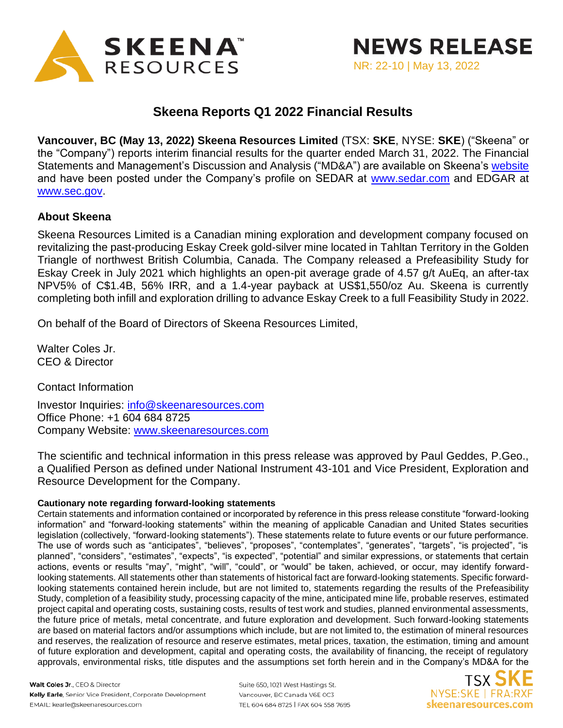

## **Skeena Reports Q1 2022 Financial Results**

**Vancouver, BC (May 13, 2022) Skeena Resources Limited** (TSX: **SKE**, NYSE: **SKE**) ("Skeena" or the "Company") reports interim financial results for the quarter ended March 31, 2022. The Financial Statements and Management's Discussion and Analysis ("MD&A") are available on Skeena's [website](https://skeenaresources.com/investors/financial-statements/) and have been posted under the Company's profile on SEDAR at [www.sedar.com](http://www.sedar.com/) and EDGAR at [www.sec.gov.](http://www.sec.gov/)

## **About Skeena**

Skeena Resources Limited is a Canadian mining exploration and development company focused on revitalizing the past-producing Eskay Creek gold-silver mine located in Tahltan Territory in the Golden Triangle of northwest British Columbia, Canada. The Company released a Prefeasibility Study for Eskay Creek in July 2021 which highlights an open-pit average grade of 4.57 g/t AuEq, an after-tax NPV5% of C\$1.4B, 56% IRR, and a 1.4-year payback at US\$1,550/oz Au. Skeena is currently completing both infill and exploration drilling to advance Eskay Creek to a full Feasibility Study in 2022.

On behalf of the Board of Directors of Skeena Resources Limited,

Walter Coles Jr. CEO & Director

Contact Information

Investor Inquiries: [info@skeenaresources.com](mailto:info@skeenaresources.com) Office Phone: +1 604 684 8725 Company Website: [www.skeenaresources.com](http://www.skeenaresources.com/)

The scientific and technical information in this press release was approved by Paul Geddes, P.Geo., a Qualified Person as defined under National Instrument 43-101 and Vice President, Exploration and Resource Development for the Company.

## **Cautionary note regarding forward-looking statements**

Certain statements and information contained or incorporated by reference in this press release constitute "forward-looking information" and "forward-looking statements" within the meaning of applicable Canadian and United States securities legislation (collectively, "forward-looking statements"). These statements relate to future events or our future performance. The use of words such as "anticipates", "believes", "proposes", "contemplates", "generates", "targets", "is projected", "is planned", "considers", "estimates", "expects", "is expected", "potential" and similar expressions, or statements that certain actions, events or results "may", "might", "will", "could", or "would" be taken, achieved, or occur, may identify forwardlooking statements. All statements other than statements of historical fact are forward-looking statements. Specific forwardlooking statements contained herein include, but are not limited to, statements regarding the results of the Prefeasibility Study, completion of a feasibility study, processing capacity of the mine, anticipated mine life, probable reserves, estimated project capital and operating costs, sustaining costs, results of test work and studies, planned environmental assessments, the future price of metals, metal concentrate, and future exploration and development. Such forward-looking statements are based on material factors and/or assumptions which include, but are not limited to, the estimation of mineral resources and reserves, the realization of resource and reserve estimates, metal prices, taxation, the estimation, timing and amount of future exploration and development, capital and operating costs, the availability of financing, the receipt of regulatory approvals, environmental risks, title disputes and the assumptions set forth herein and in the Company's MD&A for the

Walt Coles Jr., CEO & Director Kelly Earle, Senior Vice President, Corporate Development EMAIL: kearle@skeenaresources.com

Suite 650, 1021 West Hastings St. Vancouver, BC Canada V6E 0C3 TEL 604 684 8725 | FAX 604 558 7695